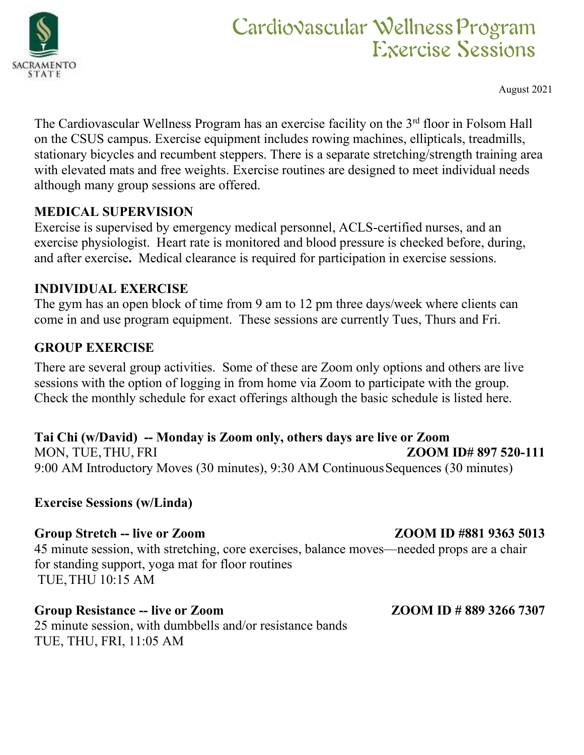

Tam<br> **ions**<br>
August 2021<br>
m Hall<br>
mills,<br> *ing ans* **Cardiovascular Wellness Program**<br>
The Cardiovascular Wellness Program has an exercise facility on the 3<sup>rd</sup> floor in Folsom Hall<br>
on the CSUS campus. Exercise equipment includes rowing machines, ellipticals, treadmills,<br> **CarclioNascular Wellness Program**<br> **Exercise Sessions**<br>
The Cardiovascular Wellness Program has an exercise facility on the 3<sup>rd</sup> floor in Folsom Hall<br>
on the CSUS campus. Exercise equipment includes rowing machines, elli **SHERE SERVISTER STATE CARGO CONTROLL STATE CARGO CONTROLL STATE**<br>
The Cardiovascular Wellness Program has an exercise facility on the 3<sup>rd</sup> floor in Folsom Hall<br>
on the CSUS campus. Exercise equipment includes rowing mach Carcliovascular Wellness Program<br>
Exercise Sessions<br>
MATE<br>
TATE<br>
TATE<br>
TATE<br>
TATE<br>
TATE<br>
TATE<br>
TATE<br>
August 2021<br>
The Cardiovascular Wellness Program has an exercise facility on the 3<sup>rd</sup> floor in Folsom Hall<br>
on the CSUS **EXECTS CONSIGNATION**<br> **EXECTS CONSIGNATE**<br> **EXECTS CONSIGNTS**<br>
TATE<br>
THE Cardiovascular Wellness Program has an exercise facility on the 3<sup>rd</sup> floor in Folsom Hall<br>
on the CSUS campus. Exercise equipment includes rowing m **Carchio Vascular Well<br>
EXET**<br>
MENTE<br>
The Cardiovascular Wellness Program has an exercise facility on the 3<sup>1</sup><br>
on the CSUS campus. Exercise equipment includes rowing machines, e<br>
stationary bicycles and recumbent steppers **EXERCISE CONSIDERED CONSIDERED CONSIDERED**<br> **EXERCISE SESSIONS**<br>
THE Cardiovascular Wellness Program has an exercise facility on the 3<sup>rd</sup> floor in Folsom Hall<br>
on the CSUS campus. Exercise equipment includes rowing machi **EXECUTE:** Carclio Vascular Wellness Program<br>
FXercise Sessions<br>
AMENTO<br>
The Cardiovascular Wellness Program has an exercise facility on the  $3<sup>rd</sup>$  floor in Folsom Hall<br>
on the CSUS campus. Exercise equipment includes **EXECUTE:** Carculion Mascular Wellness Program<br>
FXercise. Sessions<br>
Angust 2021<br>
The Cardiovascular Wellness Program has an exercise facility on the 3<sup>nd</sup> floor in Folsom Hall<br>
on the CSUS campus. Exercise equipment inclu EXECT<br>
IN EXECT<br>
INTERNATION<br>
THE Cardiovascular Wellness Program has an exercise facility on the 3<sup>rd</sup> floom the CSUS campus. Exercise equipment includes rowing machines, ellip<br>
stationary bicycles and recumbent steppers. AMENTO<br>
August 2021<br>
The Cardiovascular Wellness Program has an exercise facility on the  $3^{nd}$  floor in Folsom Hall<br>
on the CSUS campus. Exercise equipment includes rowing machines, ellipticals, treadmills,<br>
stationary b August 2021<br>
The Cardiovascular Wellness Program has an exercise facility on the 3<sup>nd</sup> floor in Folsom Hall<br>
on the CSUS campus. Exercise equipment includes rowing machines, ellipticals, treadmills,<br>
stationary bicycles an The Cardiovascular Wellness Program has an exercise facility on the CSUS campus. Exercise equipment includes rowing machine stationary bicycles and recumbent steppers. There is a separate strete with elevated mats and free The Cardiovascular Wellnoss Program has an exercise facility on the <sup>3th</sup> thoor in Folsom Hall<br>on the CSUS campus. Exercise equipment includes rowing machines, ellipticals, treadmills,<br>stationary bicycles and recumbent ste on the CSUS cannous. Exercise equipment includes rowing machines, elipticals, treadmills, trastionary bicyledes and recumbent steperts: There is a separate stretching/strength training area with elevated mats and free weig

stationary biveyeles and recumbent steppes. There is a separate stretching/strength training area<br>with elevated mats and free weights. Exercise routines are designed to meet individual needs<br>although many group sessions ar **MEDICAL SUPERVISION**<br>Exercise is supervised by emergency medical personnel, ACLS-certified nurses, and an<br>exercise is supervised by emergency medical personnel, ACLS-certified nurses, and an<br>exercise physiologist. Heart r **MEDICAL SUPERVISION**<br>
Exercise is supervised by emergency medical personnel, ACLS-certified nurses, and an<br>
Exercise physiologist. Heart rate is monitored and blood pressure is checked before, during,<br>
and after exercise.

Exercise is supervised by emergency medical personnel, ACLS-certified nurses, and an exercise physiologist. Heart rate is monitored and blood pressure is checked before, during, and after exercise. Motical clearance is req and atter exercise. Medical clearance is required for participation in exercise<br> **INDIVIDUAL EXERCISE**<br>
The gym has an open block of time from 9 am to 12 pm three days/week whe<br>
come in and use program equipment. These ses **EVENTUAL EXERCISE**<br> **CHOTAIT EXERCISE**<br> **CHOTAIT EXERCISE**<br> **CHOTER EXERCISE**<br> **CHOTE EXERCISE**<br> **CHOTE EXERCISE**<br> **CHOTE EXERCISE**<br> **CHOTE EXERCISE**<br> **CHOTE EXERCISE**<br> **CHOTE EXERCISE**<br> **CHOTE EXERCISE**<br> **CHOTE EXERCISE** The gym has an open block of time from 9 am to 12 pm three days/week where clients can<br>come in and use program equipment. These sessions are currently Tues, Thurs and Fri.<br> **GROUP EXERCISE**<br> **GROUP EXERCISE**<br> **Check** the come in and use program equipment. These sessions are currently 1 ues, 1 hurs and Fn.<br> **GROUP EXERCISE**<br>
There are several group activities. Some of these are Zoom only options and others are live<br>
sessions with the option **GROUP EXERCISE**<br>
There are several group activities. Some of these are Zoom only options and<br>
ressions with the option of logging in from home via Zoom to participate wit<br>
Check the monthly schedule for exact offerings a

# There are several group activities. Some of these are Zoom only options and others are live<br>sessions with the option of logging in from home via Zoom to participate with the group.<br>Check the monthly schedule for exact offe sessions with the option of logging in from home via Zoom to participate with the group.<br>
Check the monthly schedule for exact offerings although the basic schedule is listed here.<br>
Tai Chi (w/David) -- Monday is Zoom only

Check the monthly schedule for exact offerings although the basic schedule is liste<br>
Tai Chi (w/David) – Monday is Zoom only, others days are live or Zoom<br>
MON, TUE, THU, FRI<br>
9:00 AM Introductory Moves (30 minutes), 9:30